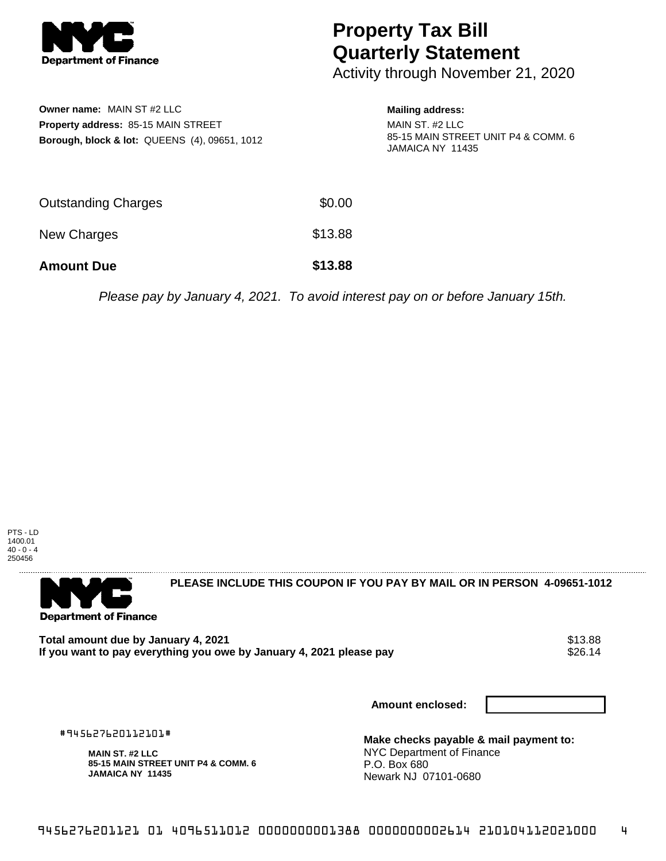

**Owner name:** MAIN ST #2 LLC

**Property address:** 85-15 MAIN STREET

**Borough, block & lot:** QUEENS (4), 09651, 1012

## **Property Tax Bill Quarterly Statement**

Activity through November 21, 2020

## **Mailing address:**

MAIN ST. #2 LLC 85-15 MAIN STREET UNIT P4 & COMM. 6 JAMAICA NY 11435

| <b>Amount Due</b>          | \$13.88 |
|----------------------------|---------|
| New Charges                | \$13.88 |
| <b>Outstanding Charges</b> | \$0.00  |

Please pay by January 4, 2021. To avoid interest pay on or before January 15th.





#945627620112101# **MAIN ST. #2 LLC**

**JAMAICA NY 11435**

**85-15 MAIN STREET UNIT P4 & COMM. 6**

**PLEASE INCLUDE THIS COUPON IF YOU PAY BY MAIL OR IN PERSON 4-09651-1012** 

Total amount due by January 4, 2021<br>If you want to pay everything you owe by January 4. 2021 please pay **show that the same of the set of the s**26.14 If you want to pay everything you owe by January 4, 2021 please pay

**Amount enclosed:**

**Make checks payable & mail payment to:** NYC Department of Finance P.O. Box 680 Newark NJ 07101-0680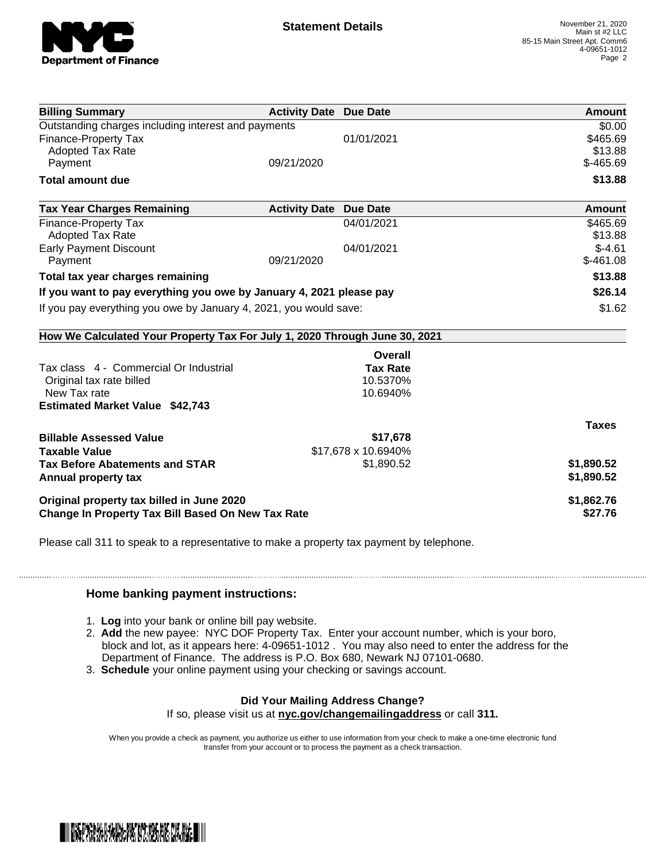

| <b>Billing Summary</b>                                                     | <b>Activity Date Due Date</b> |                     | Amount        |
|----------------------------------------------------------------------------|-------------------------------|---------------------|---------------|
| Outstanding charges including interest and payments                        |                               |                     | \$0.00        |
| Finance-Property Tax                                                       |                               | 01/01/2021          | \$465.69      |
| <b>Adopted Tax Rate</b>                                                    |                               |                     | \$13.88       |
| Payment                                                                    | 09/21/2020                    |                     | $$-465.69$    |
| <b>Total amount due</b>                                                    |                               |                     | \$13.88       |
| <b>Tax Year Charges Remaining</b>                                          | <b>Activity Date Due Date</b> |                     | <b>Amount</b> |
| Finance-Property Tax                                                       |                               | 04/01/2021          | \$465.69      |
| <b>Adopted Tax Rate</b>                                                    |                               |                     | \$13.88       |
| <b>Early Payment Discount</b>                                              |                               | 04/01/2021          | $$-4.61$      |
| Payment                                                                    | 09/21/2020                    |                     | $$-461.08$    |
| Total tax year charges remaining                                           |                               |                     | \$13.88       |
| If you want to pay everything you owe by January 4, 2021 please pay        |                               |                     | \$26.14       |
| If you pay everything you owe by January 4, 2021, you would save:          |                               |                     | \$1.62        |
| How We Calculated Your Property Tax For July 1, 2020 Through June 30, 2021 |                               |                     |               |
|                                                                            |                               | Overall             |               |
| Tax class 4 - Commercial Or Industrial                                     |                               | <b>Tax Rate</b>     |               |
| Original tax rate billed                                                   |                               | 10.5370%            |               |
| New Tax rate                                                               |                               | 10.6940%            |               |
| <b>Estimated Market Value \$42,743</b>                                     |                               |                     |               |
|                                                                            |                               |                     | <b>Taxes</b>  |
| <b>Billable Assessed Value</b>                                             |                               | \$17,678            |               |
| <b>Taxable Value</b>                                                       |                               | \$17,678 x 10.6940% |               |
| <b>Tax Before Abatements and STAR</b>                                      |                               | \$1,890.52          | \$1,890.52    |
| Annual property tax                                                        |                               |                     | \$1,890.52    |
|                                                                            |                               |                     |               |
| Original property tax billed in June 2020                                  |                               |                     | \$1,862.76    |
| <b>Change In Property Tax Bill Based On New Tax Rate</b>                   |                               |                     | \$27.76       |

Please call 311 to speak to a representative to make a property tax payment by telephone.

## **Home banking payment instructions:**

- 1. **Log** into your bank or online bill pay website.
- 2. **Add** the new payee: NYC DOF Property Tax. Enter your account number, which is your boro, block and lot, as it appears here: 4-09651-1012 . You may also need to enter the address for the Department of Finance. The address is P.O. Box 680, Newark NJ 07101-0680.
- 3. **Schedule** your online payment using your checking or savings account.

## **Did Your Mailing Address Change?**

If so, please visit us at **nyc.gov/changemailingaddress** or call **311.**

When you provide a check as payment, you authorize us either to use information from your check to make a one-time electronic fund transfer from your account or to process the payment as a check transaction.